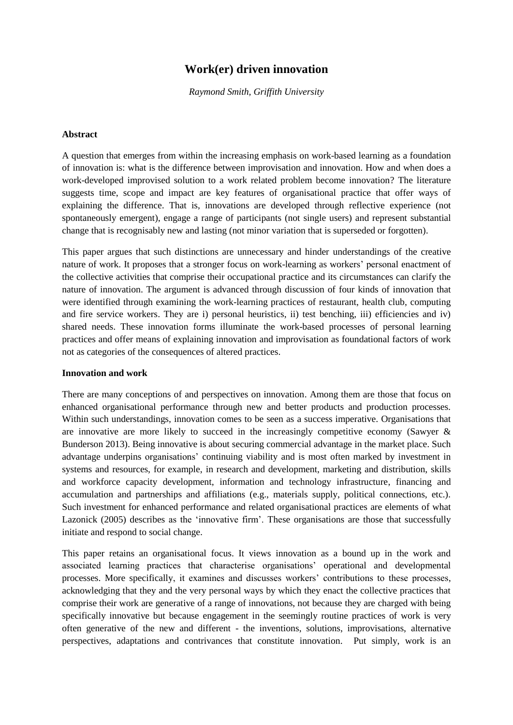# **Work(er) driven innovation**

*Raymond Smith, Griffith University*

## **Abstract**

A question that emerges from within the increasing emphasis on work-based learning as a foundation of innovation is: what is the difference between improvisation and innovation. How and when does a work-developed improvised solution to a work related problem become innovation? The literature suggests time, scope and impact are key features of organisational practice that offer ways of explaining the difference. That is, innovations are developed through reflective experience (not spontaneously emergent), engage a range of participants (not single users) and represent substantial change that is recognisably new and lasting (not minor variation that is superseded or forgotten).

This paper argues that such distinctions are unnecessary and hinder understandings of the creative nature of work. It proposes that a stronger focus on work-learning as workers' personal enactment of the collective activities that comprise their occupational practice and its circumstances can clarify the nature of innovation. The argument is advanced through discussion of four kinds of innovation that were identified through examining the work-learning practices of restaurant, health club, computing and fire service workers. They are i) personal heuristics, ii) test benching, iii) efficiencies and iv) shared needs. These innovation forms illuminate the work-based processes of personal learning practices and offer means of explaining innovation and improvisation as foundational factors of work not as categories of the consequences of altered practices.

## **Innovation and work**

There are many conceptions of and perspectives on innovation. Among them are those that focus on enhanced organisational performance through new and better products and production processes. Within such understandings, innovation comes to be seen as a success imperative. Organisations that are innovative are more likely to succeed in the increasingly competitive economy (Sawyer & Bunderson 2013). Being innovative is about securing commercial advantage in the market place. Such advantage underpins organisations' continuing viability and is most often marked by investment in systems and resources, for example, in research and development, marketing and distribution, skills and workforce capacity development, information and technology infrastructure, financing and accumulation and partnerships and affiliations (e.g., materials supply, political connections, etc.). Such investment for enhanced performance and related organisational practices are elements of what Lazonick (2005) describes as the 'innovative firm'. These organisations are those that successfully initiate and respond to social change.

This paper retains an organisational focus. It views innovation as a bound up in the work and associated learning practices that characterise organisations' operational and developmental processes. More specifically, it examines and discusses workers' contributions to these processes, acknowledging that they and the very personal ways by which they enact the collective practices that comprise their work are generative of a range of innovations, not because they are charged with being specifically innovative but because engagement in the seemingly routine practices of work is very often generative of the new and different - the inventions, solutions, improvisations, alternative perspectives, adaptations and contrivances that constitute innovation. Put simply, work is an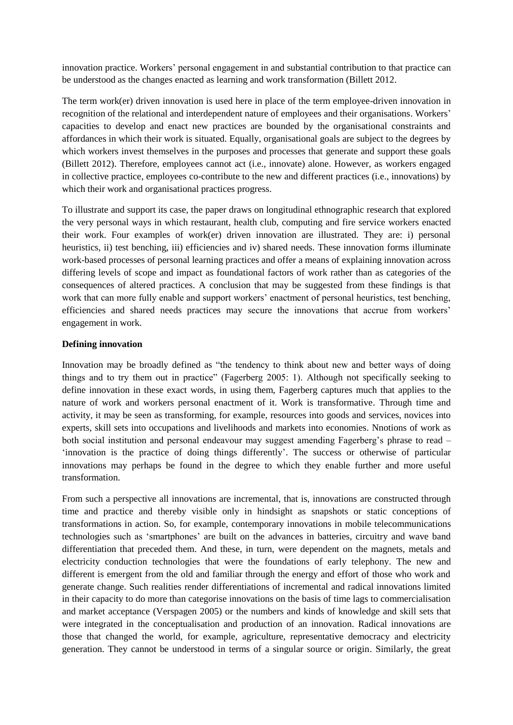innovation practice. Workers' personal engagement in and substantial contribution to that practice can be understood as the changes enacted as learning and work transformation (Billett 2012.

The term work(er) driven innovation is used here in place of the term employee-driven innovation in recognition of the relational and interdependent nature of employees and their organisations. Workers' capacities to develop and enact new practices are bounded by the organisational constraints and affordances in which their work is situated. Equally, organisational goals are subject to the degrees by which workers invest themselves in the purposes and processes that generate and support these goals (Billett 2012). Therefore, employees cannot act (i.e., innovate) alone. However, as workers engaged in collective practice, employees co-contribute to the new and different practices (i.e., innovations) by which their work and organisational practices progress.

To illustrate and support its case, the paper draws on longitudinal ethnographic research that explored the very personal ways in which restaurant, health club, computing and fire service workers enacted their work. Four examples of work(er) driven innovation are illustrated. They are: i) personal heuristics, ii) test benching, iii) efficiencies and iv) shared needs. These innovation forms illuminate work-based processes of personal learning practices and offer a means of explaining innovation across differing levels of scope and impact as foundational factors of work rather than as categories of the consequences of altered practices. A conclusion that may be suggested from these findings is that work that can more fully enable and support workers' enactment of personal heuristics, test benching, efficiencies and shared needs practices may secure the innovations that accrue from workers' engagement in work.

# **Defining innovation**

Innovation may be broadly defined as "the tendency to think about new and better ways of doing things and to try them out in practice" (Fagerberg 2005: 1). Although not specifically seeking to define innovation in these exact words, in using them, Fagerberg captures much that applies to the nature of work and workers personal enactment of it. Work is transformative. Through time and activity, it may be seen as transforming, for example, resources into goods and services, novices into experts, skill sets into occupations and livelihoods and markets into economies. Nnotions of work as both social institution and personal endeavour may suggest amending Fagerberg's phrase to read – 'innovation is the practice of doing things differently'. The success or otherwise of particular innovations may perhaps be found in the degree to which they enable further and more useful transformation.

From such a perspective all innovations are incremental, that is, innovations are constructed through time and practice and thereby visible only in hindsight as snapshots or static conceptions of transformations in action. So, for example, contemporary innovations in mobile telecommunications technologies such as 'smartphones' are built on the advances in batteries, circuitry and wave band differentiation that preceded them. And these, in turn, were dependent on the magnets, metals and electricity conduction technologies that were the foundations of early telephony. The new and different is emergent from the old and familiar through the energy and effort of those who work and generate change. Such realities render differentiations of incremental and radical innovations limited in their capacity to do more than categorise innovations on the basis of time lags to commercialisation and market acceptance (Verspagen 2005) or the numbers and kinds of knowledge and skill sets that were integrated in the conceptualisation and production of an innovation. Radical innovations are those that changed the world, for example, agriculture, representative democracy and electricity generation. They cannot be understood in terms of a singular source or origin. Similarly, the great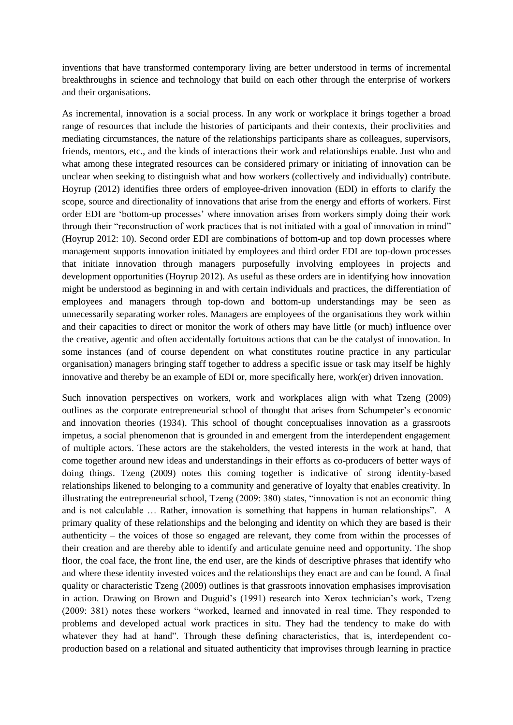inventions that have transformed contemporary living are better understood in terms of incremental breakthroughs in science and technology that build on each other through the enterprise of workers and their organisations.

As incremental, innovation is a social process. In any work or workplace it brings together a broad range of resources that include the histories of participants and their contexts, their proclivities and mediating circumstances, the nature of the relationships participants share as colleagues, supervisors, friends, mentors, etc., and the kinds of interactions their work and relationships enable. Just who and what among these integrated resources can be considered primary or initiating of innovation can be unclear when seeking to distinguish what and how workers (collectively and individually) contribute. Hoyrup (2012) identifies three orders of employee-driven innovation (EDI) in efforts to clarify the scope, source and directionality of innovations that arise from the energy and efforts of workers. First order EDI are 'bottom-up processes' where innovation arises from workers simply doing their work through their "reconstruction of work practices that is not initiated with a goal of innovation in mind" (Hoyrup 2012: 10). Second order EDI are combinations of bottom-up and top down processes where management supports innovation initiated by employees and third order EDI are top-down processes that initiate innovation through managers purposefully involving employees in projects and development opportunities (Hoyrup 2012). As useful as these orders are in identifying how innovation might be understood as beginning in and with certain individuals and practices, the differentiation of employees and managers through top-down and bottom-up understandings may be seen as unnecessarily separating worker roles. Managers are employees of the organisations they work within and their capacities to direct or monitor the work of others may have little (or much) influence over the creative, agentic and often accidentally fortuitous actions that can be the catalyst of innovation. In some instances (and of course dependent on what constitutes routine practice in any particular organisation) managers bringing staff together to address a specific issue or task may itself be highly innovative and thereby be an example of EDI or, more specifically here, work(er) driven innovation.

Such innovation perspectives on workers, work and workplaces align with what Tzeng (2009) outlines as the corporate entrepreneurial school of thought that arises from Schumpeter's economic and innovation theories (1934). This school of thought conceptualises innovation as a grassroots impetus, a social phenomenon that is grounded in and emergent from the interdependent engagement of multiple actors. These actors are the stakeholders, the vested interests in the work at hand, that come together around new ideas and understandings in their efforts as co-producers of better ways of doing things. Tzeng (2009) notes this coming together is indicative of strong identity-based relationships likened to belonging to a community and generative of loyalty that enables creativity. In illustrating the entrepreneurial school, Tzeng (2009: 380) states, "innovation is not an economic thing and is not calculable … Rather, innovation is something that happens in human relationships". A primary quality of these relationships and the belonging and identity on which they are based is their authenticity – the voices of those so engaged are relevant, they come from within the processes of their creation and are thereby able to identify and articulate genuine need and opportunity. The shop floor, the coal face, the front line, the end user, are the kinds of descriptive phrases that identify who and where these identity invested voices and the relationships they enact are and can be found. A final quality or characteristic Tzeng (2009) outlines is that grassroots innovation emphasises improvisation in action. Drawing on Brown and Duguid's (1991) research into Xerox technician's work, Tzeng (2009: 381) notes these workers "worked, learned and innovated in real time. They responded to problems and developed actual work practices in situ. They had the tendency to make do with whatever they had at hand". Through these defining characteristics, that is, interdependent coproduction based on a relational and situated authenticity that improvises through learning in practice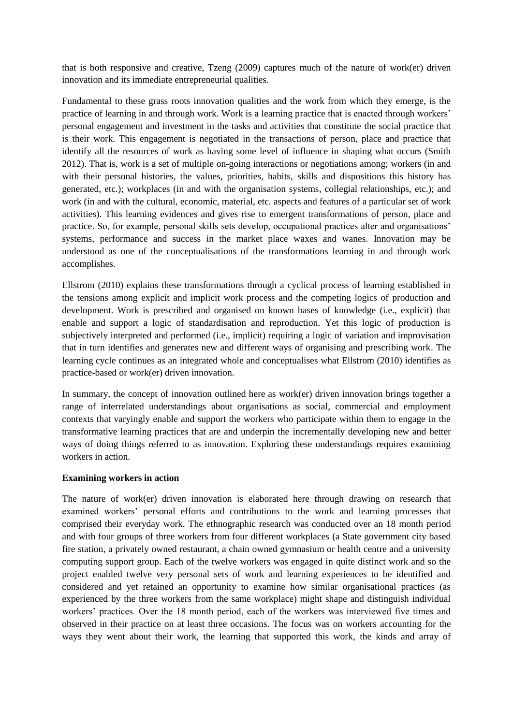that is both responsive and creative, Tzeng (2009) captures much of the nature of work(er) driven innovation and its immediate entrepreneurial qualities.

Fundamental to these grass roots innovation qualities and the work from which they emerge, is the practice of learning in and through work. Work is a learning practice that is enacted through workers' personal engagement and investment in the tasks and activities that constitute the social practice that is their work. This engagement is negotiated in the transactions of person, place and practice that identify all the resources of work as having some level of influence in shaping what occurs (Smith 2012). That is, work is a set of multiple on-going interactions or negotiations among; workers (in and with their personal histories, the values, priorities, habits, skills and dispositions this history has generated, etc.); workplaces (in and with the organisation systems, collegial relationships, etc.); and work (in and with the cultural, economic, material, etc. aspects and features of a particular set of work activities). This learning evidences and gives rise to emergent transformations of person, place and practice. So, for example, personal skills sets develop, occupational practices alter and organisations' systems, performance and success in the market place waxes and wanes. Innovation may be understood as one of the conceptualisations of the transformations learning in and through work accomplishes.

Ellstrom (2010) explains these transformations through a cyclical process of learning established in the tensions among explicit and implicit work process and the competing logics of production and development. Work is prescribed and organised on known bases of knowledge (i.e., explicit) that enable and support a logic of standardisation and reproduction. Yet this logic of production is subjectively interpreted and performed (i.e., implicit) requiring a logic of variation and improvisation that in turn identifies and generates new and different ways of organising and prescribing work. The learning cycle continues as an integrated whole and conceptualises what Ellstrom (2010) identifies as practice-based or work(er) driven innovation.

In summary, the concept of innovation outlined here as work(er) driven innovation brings together a range of interrelated understandings about organisations as social, commercial and employment contexts that varyingly enable and support the workers who participate within them to engage in the transformative learning practices that are and underpin the incrementally developing new and better ways of doing things referred to as innovation. Exploring these understandings requires examining workers in action.

#### **Examining workers in action**

The nature of work(er) driven innovation is elaborated here through drawing on research that examined workers' personal efforts and contributions to the work and learning processes that comprised their everyday work. The ethnographic research was conducted over an 18 month period and with four groups of three workers from four different workplaces (a State government city based fire station, a privately owned restaurant, a chain owned gymnasium or health centre and a university computing support group. Each of the twelve workers was engaged in quite distinct work and so the project enabled twelve very personal sets of work and learning experiences to be identified and considered and yet retained an opportunity to examine how similar organisational practices (as experienced by the three workers from the same workplace) might shape and distinguish individual workers' practices. Over the 18 month period, each of the workers was interviewed five times and observed in their practice on at least three occasions. The focus was on workers accounting for the ways they went about their work, the learning that supported this work, the kinds and array of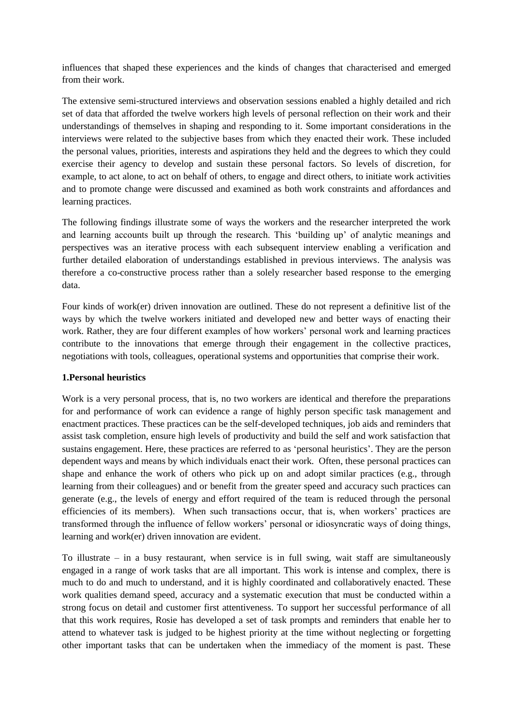influences that shaped these experiences and the kinds of changes that characterised and emerged from their work.

The extensive semi-structured interviews and observation sessions enabled a highly detailed and rich set of data that afforded the twelve workers high levels of personal reflection on their work and their understandings of themselves in shaping and responding to it. Some important considerations in the interviews were related to the subjective bases from which they enacted their work. These included the personal values, priorities, interests and aspirations they held and the degrees to which they could exercise their agency to develop and sustain these personal factors. So levels of discretion, for example, to act alone, to act on behalf of others, to engage and direct others, to initiate work activities and to promote change were discussed and examined as both work constraints and affordances and learning practices.

The following findings illustrate some of ways the workers and the researcher interpreted the work and learning accounts built up through the research. This 'building up' of analytic meanings and perspectives was an iterative process with each subsequent interview enabling a verification and further detailed elaboration of understandings established in previous interviews. The analysis was therefore a co-constructive process rather than a solely researcher based response to the emerging data.

Four kinds of work(er) driven innovation are outlined. These do not represent a definitive list of the ways by which the twelve workers initiated and developed new and better ways of enacting their work. Rather, they are four different examples of how workers' personal work and learning practices contribute to the innovations that emerge through their engagement in the collective practices, negotiations with tools, colleagues, operational systems and opportunities that comprise their work.

# **1.Personal heuristics**

Work is a very personal process, that is, no two workers are identical and therefore the preparations for and performance of work can evidence a range of highly person specific task management and enactment practices. These practices can be the self-developed techniques, job aids and reminders that assist task completion, ensure high levels of productivity and build the self and work satisfaction that sustains engagement. Here, these practices are referred to as 'personal heuristics'. They are the person dependent ways and means by which individuals enact their work. Often, these personal practices can shape and enhance the work of others who pick up on and adopt similar practices (e.g., through learning from their colleagues) and or benefit from the greater speed and accuracy such practices can generate (e.g., the levels of energy and effort required of the team is reduced through the personal efficiencies of its members). When such transactions occur, that is, when workers' practices are transformed through the influence of fellow workers' personal or idiosyncratic ways of doing things, learning and work(er) driven innovation are evident.

To illustrate  $-$  in a busy restaurant, when service is in full swing, wait staff are simultaneously engaged in a range of work tasks that are all important. This work is intense and complex, there is much to do and much to understand, and it is highly coordinated and collaboratively enacted. These work qualities demand speed, accuracy and a systematic execution that must be conducted within a strong focus on detail and customer first attentiveness. To support her successful performance of all that this work requires, Rosie has developed a set of task prompts and reminders that enable her to attend to whatever task is judged to be highest priority at the time without neglecting or forgetting other important tasks that can be undertaken when the immediacy of the moment is past. These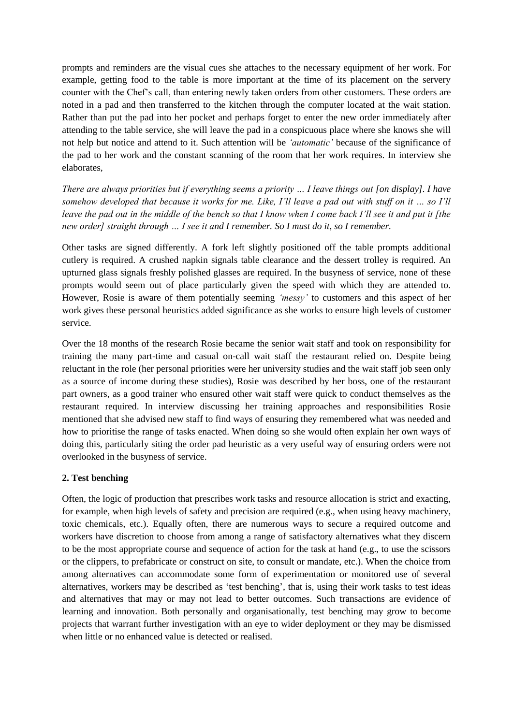prompts and reminders are the visual cues she attaches to the necessary equipment of her work. For example, getting food to the table is more important at the time of its placement on the servery counter with the Chef's call, than entering newly taken orders from other customers. These orders are noted in a pad and then transferred to the kitchen through the computer located at the wait station. Rather than put the pad into her pocket and perhaps forget to enter the new order immediately after attending to the table service, she will leave the pad in a conspicuous place where she knows she will not help but notice and attend to it. Such attention will be *'automatic'* because of the significance of the pad to her work and the constant scanning of the room that her work requires. In interview she elaborates,

*There are always priorities but if everything seems a priority … I leave things out [on display]. I have somehow developed that because it works for me. Like, I'll leave a pad out with stuff on it … so I'll leave the pad out in the middle of the bench so that I know when I come back I'll see it and put it [the new order] straight through … I see it and I remember. So I must do it, so I remember.* 

Other tasks are signed differently. A fork left slightly positioned off the table prompts additional cutlery is required. A crushed napkin signals table clearance and the dessert trolley is required. An upturned glass signals freshly polished glasses are required. In the busyness of service, none of these prompts would seem out of place particularly given the speed with which they are attended to. However, Rosie is aware of them potentially seeming *'messy'* to customers and this aspect of her work gives these personal heuristics added significance as she works to ensure high levels of customer service.

Over the 18 months of the research Rosie became the senior wait staff and took on responsibility for training the many part-time and casual on-call wait staff the restaurant relied on. Despite being reluctant in the role (her personal priorities were her university studies and the wait staff job seen only as a source of income during these studies), Rosie was described by her boss, one of the restaurant part owners, as a good trainer who ensured other wait staff were quick to conduct themselves as the restaurant required. In interview discussing her training approaches and responsibilities Rosie mentioned that she advised new staff to find ways of ensuring they remembered what was needed and how to prioritise the range of tasks enacted. When doing so she would often explain her own ways of doing this, particularly siting the order pad heuristic as a very useful way of ensuring orders were not overlooked in the busyness of service.

#### **2. Test benching**

Often, the logic of production that prescribes work tasks and resource allocation is strict and exacting, for example, when high levels of safety and precision are required (e.g., when using heavy machinery, toxic chemicals, etc.). Equally often, there are numerous ways to secure a required outcome and workers have discretion to choose from among a range of satisfactory alternatives what they discern to be the most appropriate course and sequence of action for the task at hand (e.g., to use the scissors or the clippers, to prefabricate or construct on site, to consult or mandate, etc.). When the choice from among alternatives can accommodate some form of experimentation or monitored use of several alternatives, workers may be described as 'test benching', that is, using their work tasks to test ideas and alternatives that may or may not lead to better outcomes. Such transactions are evidence of learning and innovation. Both personally and organisationally, test benching may grow to become projects that warrant further investigation with an eye to wider deployment or they may be dismissed when little or no enhanced value is detected or realised.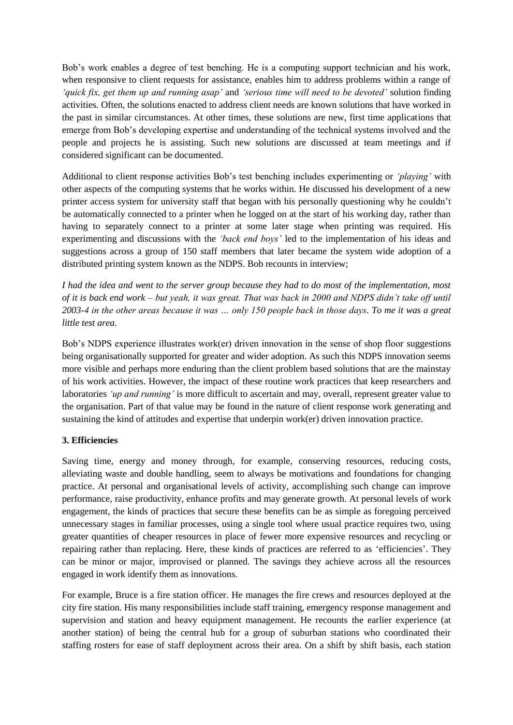Bob's work enables a degree of test benching. He is a computing support technician and his work, when responsive to client requests for assistance, enables him to address problems within a range of *'quick fix, get them up and running asap'* and *'serious time will need to be devoted'* solution finding activities. Often, the solutions enacted to address client needs are known solutions that have worked in the past in similar circumstances. At other times, these solutions are new, first time applications that emerge from Bob's developing expertise and understanding of the technical systems involved and the people and projects he is assisting. Such new solutions are discussed at team meetings and if considered significant can be documented.

Additional to client response activities Bob's test benching includes experimenting or *'playing'* with other aspects of the computing systems that he works within. He discussed his development of a new printer access system for university staff that began with his personally questioning why he couldn't be automatically connected to a printer when he logged on at the start of his working day, rather than having to separately connect to a printer at some later stage when printing was required. His experimenting and discussions with the *'back end boys'* led to the implementation of his ideas and suggestions across a group of 150 staff members that later became the system wide adoption of a distributed printing system known as the NDPS. Bob recounts in interview;

*I had the idea and went to the server group because they had to do most of the implementation, most of it is back end work – but yeah, it was great. That was back in 2000 and NDPS didn't take off until 2003-4 in the other areas because it was … only 150 people back in those days. To me it was a great little test area.* 

Bob's NDPS experience illustrates work(er) driven innovation in the sense of shop floor suggestions being organisationally supported for greater and wider adoption. As such this NDPS innovation seems more visible and perhaps more enduring than the client problem based solutions that are the mainstay of his work activities. However, the impact of these routine work practices that keep researchers and laboratories *'up and running'* is more difficult to ascertain and may, overall, represent greater value to the organisation. Part of that value may be found in the nature of client response work generating and sustaining the kind of attitudes and expertise that underpin work(er) driven innovation practice.

# **3. Efficiencies**

Saving time, energy and money through, for example, conserving resources, reducing costs, alleviating waste and double handling, seem to always be motivations and foundations for changing practice. At personal and organisational levels of activity, accomplishing such change can improve performance, raise productivity, enhance profits and may generate growth. At personal levels of work engagement, the kinds of practices that secure these benefits can be as simple as foregoing perceived unnecessary stages in familiar processes, using a single tool where usual practice requires two, using greater quantities of cheaper resources in place of fewer more expensive resources and recycling or repairing rather than replacing. Here, these kinds of practices are referred to as 'efficiencies'. They can be minor or major, improvised or planned. The savings they achieve across all the resources engaged in work identify them as innovations.

For example, Bruce is a fire station officer. He manages the fire crews and resources deployed at the city fire station. His many responsibilities include staff training, emergency response management and supervision and station and heavy equipment management. He recounts the earlier experience (at another station) of being the central hub for a group of suburban stations who coordinated their staffing rosters for ease of staff deployment across their area. On a shift by shift basis, each station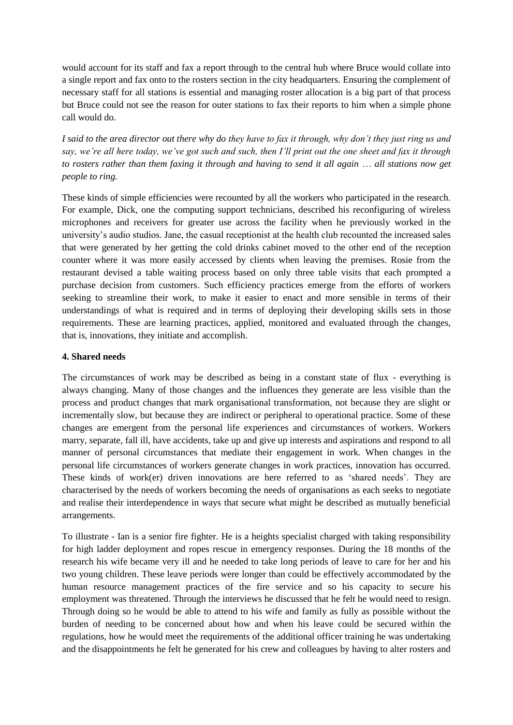would account for its staff and fax a report through to the central hub where Bruce would collate into a single report and fax onto to the rosters section in the city headquarters. Ensuring the complement of necessary staff for all stations is essential and managing roster allocation is a big part of that process but Bruce could not see the reason for outer stations to fax their reports to him when a simple phone call would do.

*I said to the area director out there why do they have to fax it through, why don't they just ring us and say, we're all here today, we've got such and such, then I'll print out the one sheet and fax it through to rosters rather than them faxing it through and having to send it all again* … *all stations now get people to ring.*

These kinds of simple efficiencies were recounted by all the workers who participated in the research. For example, Dick, one the computing support technicians, described his reconfiguring of wireless microphones and receivers for greater use across the facility when he previously worked in the university's audio studios. Jane, the casual receptionist at the health club recounted the increased sales that were generated by her getting the cold drinks cabinet moved to the other end of the reception counter where it was more easily accessed by clients when leaving the premises. Rosie from the restaurant devised a table waiting process based on only three table visits that each prompted a purchase decision from customers. Such efficiency practices emerge from the efforts of workers seeking to streamline their work, to make it easier to enact and more sensible in terms of their understandings of what is required and in terms of deploying their developing skills sets in those requirements. These are learning practices, applied, monitored and evaluated through the changes, that is, innovations, they initiate and accomplish.

# **4. Shared needs**

The circumstances of work may be described as being in a constant state of flux - everything is always changing. Many of those changes and the influences they generate are less visible than the process and product changes that mark organisational transformation, not because they are slight or incrementally slow, but because they are indirect or peripheral to operational practice. Some of these changes are emergent from the personal life experiences and circumstances of workers. Workers marry, separate, fall ill, have accidents, take up and give up interests and aspirations and respond to all manner of personal circumstances that mediate their engagement in work. When changes in the personal life circumstances of workers generate changes in work practices, innovation has occurred. These kinds of work(er) driven innovations are here referred to as 'shared needs'. They are characterised by the needs of workers becoming the needs of organisations as each seeks to negotiate and realise their interdependence in ways that secure what might be described as mutually beneficial arrangements.

To illustrate - Ian is a senior fire fighter. He is a heights specialist charged with taking responsibility for high ladder deployment and ropes rescue in emergency responses. During the 18 months of the research his wife became very ill and he needed to take long periods of leave to care for her and his two young children. These leave periods were longer than could be effectively accommodated by the human resource management practices of the fire service and so his capacity to secure his employment was threatened. Through the interviews he discussed that he felt he would need to resign. Through doing so he would be able to attend to his wife and family as fully as possible without the burden of needing to be concerned about how and when his leave could be secured within the regulations, how he would meet the requirements of the additional officer training he was undertaking and the disappointments he felt he generated for his crew and colleagues by having to alter rosters and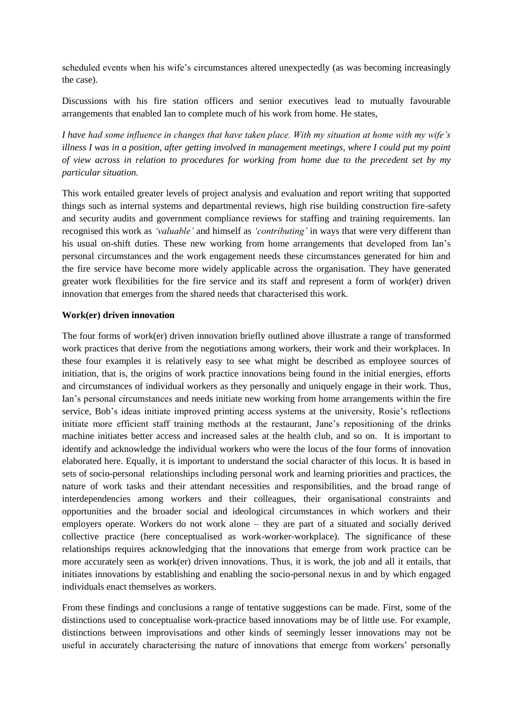scheduled events when his wife's circumstances altered unexpectedly (as was becoming increasingly the case).

Discussions with his fire station officers and senior executives lead to mutually favourable arrangements that enabled Ian to complete much of his work from home. He states,

*I have had some influence in changes that have taken place. With my situation at home with my wife's illness I was in a position, after getting involved in management meetings, where I could put my point of view across in relation to procedures for working from home due to the precedent set by my particular situation.* 

This work entailed greater levels of project analysis and evaluation and report writing that supported things such as internal systems and departmental reviews, high rise building construction fire-safety and security audits and government compliance reviews for staffing and training requirements. Ian recognised this work as *'valuable'* and himself as *'contributing'* in ways that were very different than his usual on-shift duties. These new working from home arrangements that developed from Ian's personal circumstances and the work engagement needs these circumstances generated for him and the fire service have become more widely applicable across the organisation. They have generated greater work flexibilities for the fire service and its staff and represent a form of work(er) driven innovation that emerges from the shared needs that characterised this work.

#### **Work(er) driven innovation**

The four forms of work(er) driven innovation briefly outlined above illustrate a range of transformed work practices that derive from the negotiations among workers, their work and their workplaces. In these four examples it is relatively easy to see what might be described as employee sources of initiation, that is, the origins of work practice innovations being found in the initial energies, efforts and circumstances of individual workers as they personally and uniquely engage in their work. Thus, Ian's personal circumstances and needs initiate new working from home arrangements within the fire service, Bob's ideas initiate improved printing access systems at the university, Rosie's reflections initiate more efficient staff training methods at the restaurant, Jane's repositioning of the drinks machine initiates better access and increased sales at the health club, and so on. It is important to identify and acknowledge the individual workers who were the locus of the four forms of innovation elaborated here. Equally, it is important to understand the social character of this locus. It is based in sets of socio-personal relationships including personal work and learning priorities and practices, the nature of work tasks and their attendant necessities and responsibilities, and the broad range of interdependencies among workers and their colleagues, their organisational constraints and opportunities and the broader social and ideological circumstances in which workers and their employers operate. Workers do not work alone – they are part of a situated and socially derived collective practice (here conceptualised as work-worker-workplace). The significance of these relationships requires acknowledging that the innovations that emerge from work practice can be more accurately seen as work(er) driven innovations. Thus, it is work, the job and all it entails, that initiates innovations by establishing and enabling the socio-personal nexus in and by which engaged individuals enact themselves as workers.

From these findings and conclusions a range of tentative suggestions can be made. First, some of the distinctions used to conceptualise work-practice based innovations may be of little use. For example, distinctions between improvisations and other kinds of seemingly lesser innovations may not be useful in accurately characterising the nature of innovations that emerge from workers' personally